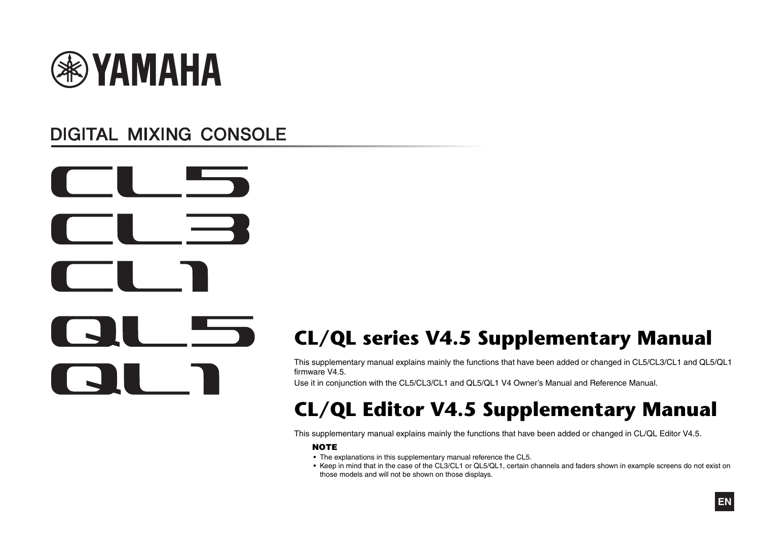

# **DIGITAL MIXING CONSOLE**



# **CL/QL series V4.5 Supplementary Manual**

This supplementary manual explains mainly the functions that have been added or changed in CL5/CL3/CL1 and QL5/QL1 firmware V4.5.

Use it in conjunction with the CL5/CL3/CL1 and QL5/QL1 V4 Owner's Manual and Reference Manual.

# **CL/QL Editor V4.5 Supplementary Manual**

This supplementary manual explains mainly the functions that have been added or changed in CL/QL Editor V4.5.

#### **NOTE**

- The explanations in this supplementary manual reference the CL5.
- Keep in mind that in the case of the CL3/CL1 or QL5/QL1, certain channels and faders shown in example screens do not exist on those models and will not be shown on those displays.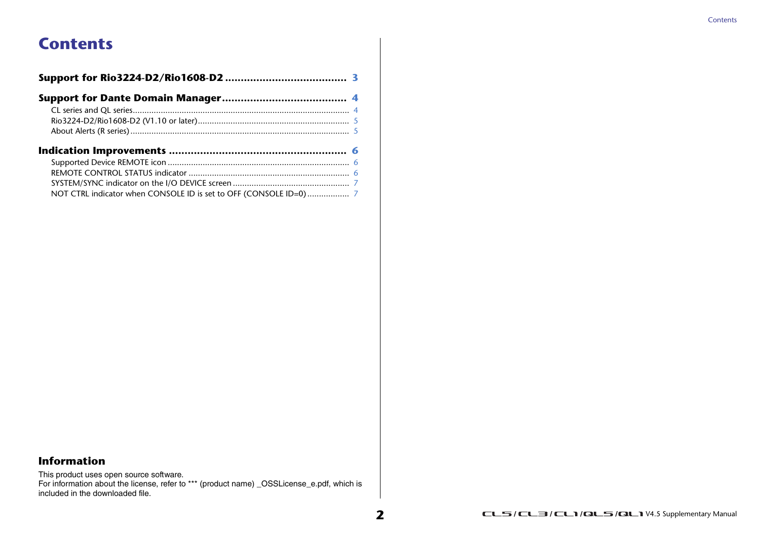# **Contents**

#### **Information**

This product uses open source software.

For information about the license, refer to \*\*\* (product name) \_OSSLicense\_e.pdf, which is included in the downloaded file.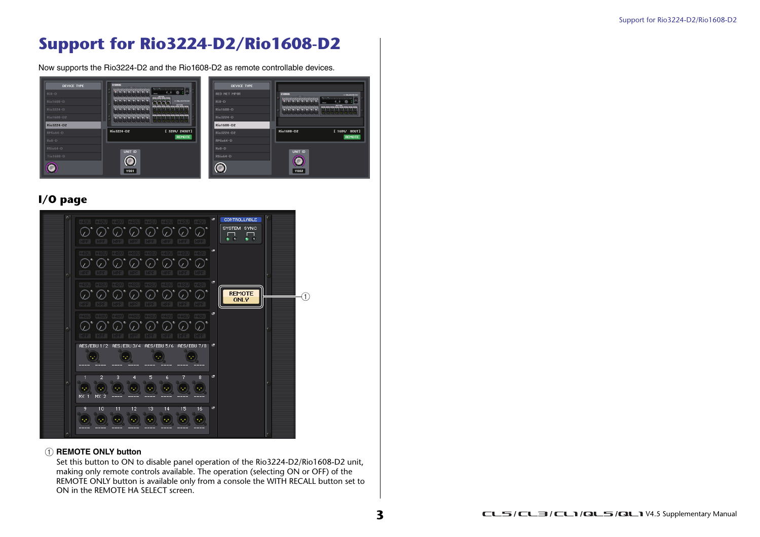# <span id="page-2-0"></span>**Support for Rio3224-D2/Rio1608-D2**

Now supports the Rio3224-D2 and the Rio1608-D2 as remote controllable devices.



### **I/O page**



#### 1 **REMOTE ONLY button**

Set this button to ON to disable panel operation of the Rio3224-D2/Rio1608-D2 unit, making only remote controls available. The operation (selecting ON or OFF) of the REMOTE ONLY button is available only from a console the WITH RECALL button set to ON in the REMOTE HA SELECT screen.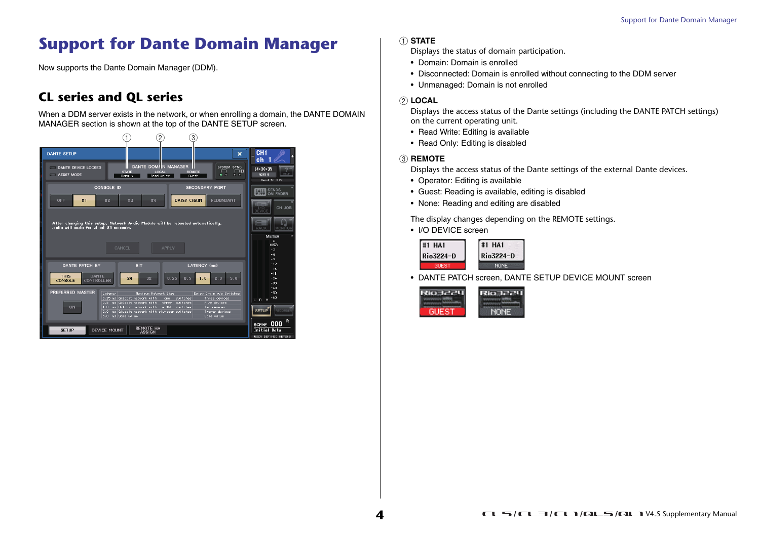# <span id="page-3-0"></span>**Support for Dante Domain Manager**

Now supports the Dante Domain Manager (DDM).

## <span id="page-3-1"></span>**CL series and QL series**

When a DDM server exists in the network, or when enrolling a domain, the DANTE DOMAIN MANAGER section is shown at the top of the DANTE SETUP screen.



#### 1 **STATE**

Displays the status of domain participation.

- Domain: Domain is enrolled
- Disconnected: Domain is enrolled without connecting to the DDM server
- Unmanaged: Domain is not enrolled

#### 2 **LOCAL**

Displays the access status of the Dante settings (including the DANTE PATCH settings) on the current operating unit.

- Read Write: Editing is available
- Read Only: Editing is disabled

#### 3 **REMOTE**

Displays the access status of the Dante settings of the external Dante devices.

- Operator: Editing is available
- Guest: Reading is available, editing is disabled
- None: Reading and editing are disabled

The display changes depending on the REMOTE settings.

• I/O DEVICE screen

| #1<br>HA 1 | #1 HA1    |
|------------|-----------|
| Rio3224-D  | Rio3224-D |
| GUEST      | NONE      |

• DANTE PATCH screen, DANTE SETUP DEVICE MOUNT screen

| NONE |
|------|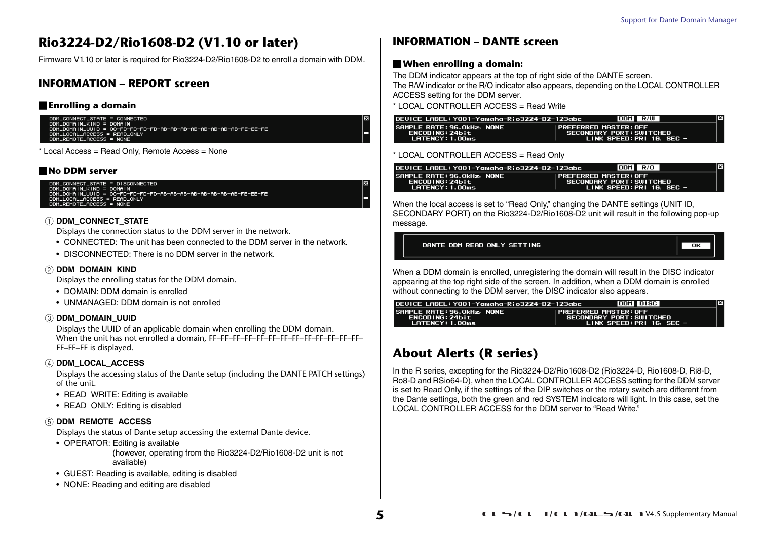### <span id="page-4-0"></span>**Rio3224-D2/Rio1608-D2 (V1.10 or later)**

Firmware V1.10 or later is required for Rio3224-D2/Rio1608-D2 to enroll a domain with DDM.

#### **INFORMATION – REPORT screen**

#### **Enrolling a domain**

DDM\_CONNECT\_STATE = CONNECTED<br>DDM\_DOMAIN\_KIND = DOMAIN<br>DDM\_LOCAL\_ACCESS = READ\_ONLY<br>DDM\_LOCAL\_ACCESS = READ\_ONLY<br>DDM\_REMOTE\_ACCESS = NONE<br>DDM\_REMOTE\_ACCESS = NONE

\* Local Access = Read Only, Remote Access = None

#### **No DDM server**

```
DDM_CONNECT_STATE = DISCONNECTED<br>DDM_DOMAIN_KIND = DOMAIN<br>DDM_DOMAIN_UUID = OO-FD-FD-FD-FD-AB-AB-AB-AB-AB-AB-AB-AB-FE-EE-FE<br>DDM_LOCAL_ACCESS = READ_ONLY
DDM_REMOTE_ACCESS = NONE
```
#### 1 **DDM\_CONNECT\_STATE**

Displays the connection status to the DDM server in the network.

- CONNECTED: The unit has been connected to the DDM server in the network.
- DISCONNECTED: There is no DDM server in the network.

#### 2 **DDM\_DOMAIN\_KIND**

Displays the enrolling status for the DDM domain.

- DOMAIN: DDM domain is enrolled
- UNMANAGED: DDM domain is not enrolled

#### 3 **DDM\_DOMAIN\_UUID**

Displays the UUID of an applicable domain when enrolling the DDM domain. When the unit has not enrolled a domain, FF–FF–FF–FF–FF–FF–FF–FF–FF–FF–FF–FF–FF– FF–FF–FF is displayed.

#### 4 **DDM\_LOCAL\_ACCESS**

Displays the accessing status of the Dante setup (including the DANTE PATCH settings) of the unit.

- READ\_WRITE: Editing is available
- READ\_ONLY: Editing is disabled

#### 5 **DDM\_REMOTE\_ACCESS**

Displays the status of Dante setup accessing the external Dante device.

• OPERATOR: Editing is available

(however, operating from the Rio3224-D2/Rio1608-D2 unit is not available)

- GUEST: Reading is available, editing is disabled
- NONE: Reading and editing are disabled

#### **INFORMATION – DANTE screen**

#### **When enrolling a domain:**

The DDM indicator appears at the top of right side of the DANTE screen. The R/W indicator or the R/O indicator also appears, depending on the LOCAL CONTROLLER ACCESS setting for the DDM server.

\* LOCAL CONTROLLER ACCESS = Read Write

| DEVICE LABEL: Y001-Yamaha-Rio3224-D2-123abc                             |                                                                                   | DDM R/W |  | × |
|-------------------------------------------------------------------------|-----------------------------------------------------------------------------------|---------|--|---|
| SAMPLE RATE: 96.0kHz, NONE<br><b>ENCODING: 24bit</b><br>LATENCY: 1.00ms | IPREFERRED MASTER: OFF<br>SECONDARY PORT: SWITCHED<br>LINK SPEED: PRI 16, SEC $-$ |         |  |   |

#### \* LOCAL CONTROLLER ACCESS = Read Only

| 0EVICE LABEL: Y001-Yamaha-Rio3224-D2-123abc                      | ×<br>DDM R/O                                                                      |  |
|------------------------------------------------------------------|-----------------------------------------------------------------------------------|--|
| SAMPLE RATE: 96.OkHz, NONE<br>ENCODING: 24bit<br>LATENCY: 1.00ms | IPREFERRED MASTER: OFF<br>SECONDARY PORT: SWITCHED<br>LINK SPEED: PRI 16, SEC $-$ |  |

When the local access is set to "Read Only," changing the DANTE settings (UNIT ID, SECONDARY PORT) on the Rio3224-D2/Rio1608-D2 unit will result in the following pop-up message.

DANTE DDM READ ONLY SETTING

 $\overline{\text{OK}}$ 

When a DDM domain is enrolled, unregistering the domain will result in the DISC indicator appearing at the top right side of the screen. In addition, when a DDM domain is enrolled without connecting to the DDM server, the DISC indicator also appears.

| DEVICE LABEL: Y001-Yamaha-Rio3224-D2-123abc                             |                               | DDM DISC                                                | Ι× |
|-------------------------------------------------------------------------|-------------------------------|---------------------------------------------------------|----|
| SAMPLE RATE: 96.0kHz, NONE<br><b>ENCODING: 24bit</b><br>LATENCY: 1.00ms | <b>IPREFERRED MASTER: OFF</b> | SECONDARY PORT: SWITCHED<br>LINK SPEED: PRI 16, SEC $-$ |    |

### <span id="page-4-1"></span>**About Alerts (R series)**

In the R series, excepting for the Rio3224-D2/Rio1608-D2 (Rio3224-D, Rio1608-D, Ri8-D, Ro8-D and RSio64-D), when the LOCAL CONTROLLER ACCESS setting for the DDM server is set to Read Only, if the settings of the DIP switches or the rotary switch are different from the Dante settings, both the green and red SYSTEM indicators will light. In this case, set the LOCAL CONTROLLER ACCESS for the DDM server to "Read Write."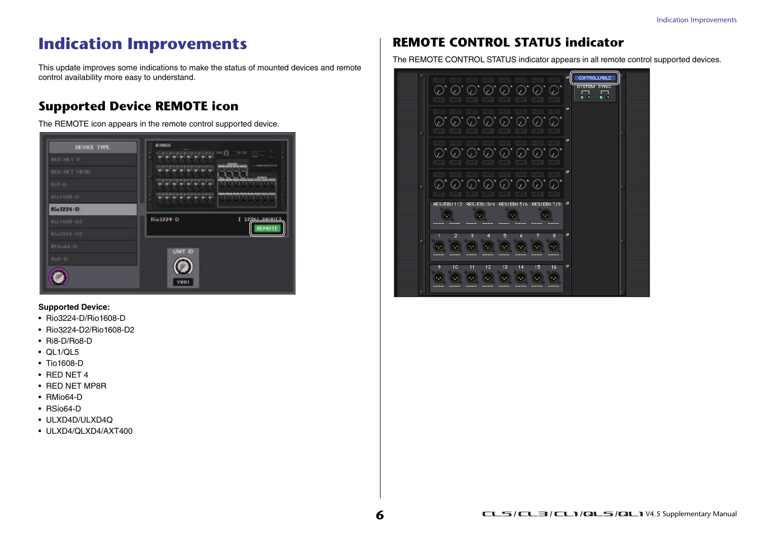# <span id="page-5-0"></span>**Indication Improvements**

This update improves some indications to make the status of mounted devices and remote control availability more easy to understand.

### <span id="page-5-1"></span>**Supported Device REMOTE icon**

The REMOTE icon appears in the remote control supported device.



#### **Supported Device:**

- Rio3224-D/Rio1608-D
- Rio3224-D2/Rio1608-D2
- Ri8-D/Ro8-D
- QL1/QL5
- Tio1608-D
- RED NET 4
- RED NET MP8R
- RMio64-D
- RSio64-D
- ULXD4D/ULXD4Q
- ULXD4/QLXD4/AXT400

## <span id="page-5-2"></span>**REMOTE CONTROL STATUS indicator**

The REMOTE CONTROL STATUS indicator appears in all remote control supported devices.

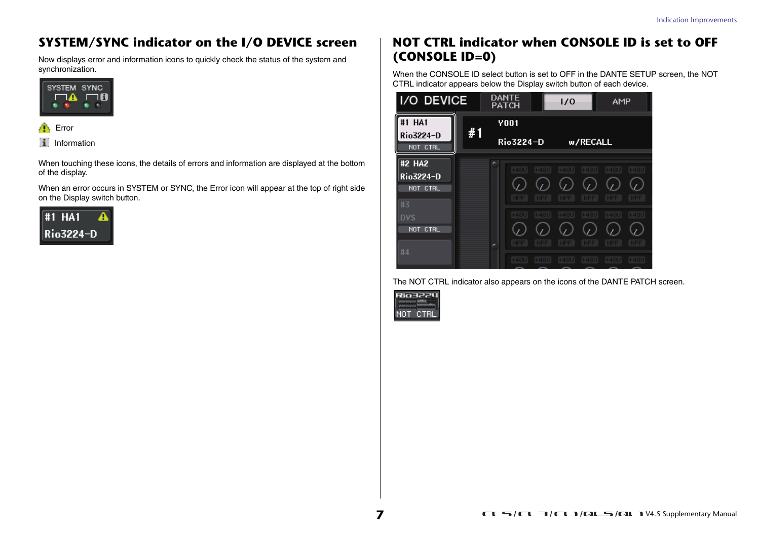## <span id="page-6-0"></span>**SYSTEM/SYNC indicator on the I/O DEVICE screen**

Now displays error and information icons to quickly check the status of the system and synchronization.





When touching these icons, the details of errors and information are displayed at the bottom of the display.

When an error occurs in SYSTEM or SYNC, the Error icon will appear at the top of right side on the Display switch button.



### <span id="page-6-1"></span>**NOT CTRL indicator when CONSOLE ID is set to OFF (CONSOLE ID=0)**

When the CONSOLE ID select button is set to OFF in the DANTE SETUP screen, the NOT CTRL indicator appears below the Display switch button of each device.

| I/O DEVICE                              |    | DANTE<br><b>PATCH</b> |                      | 1/0                  |                      | AMP                  |                      |
|-----------------------------------------|----|-----------------------|----------------------|----------------------|----------------------|----------------------|----------------------|
| #1 HA1                                  | #1 | <b>Y001</b>           |                      |                      |                      |                      |                      |
| Rio3224-D<br>NOT CTRL                   |    | Rio 3224-D            |                      |                      | w/RECALL             |                      |                      |
| #2 HA2<br>Rio3224-D<br>NOT CTRL<br>#3   |    | $+480$<br><b>HPF</b>  | $+48U$<br><b>HPF</b> | $+48U$<br><b>HPF</b> | $+48U$<br><b>HPF</b> | $+48U$<br><b>HPF</b> | $+48U$<br><b>HPF</b> |
| <b>DVS</b><br>NOT.<br><b>CTRL</b><br>#4 | c. | $+48U$<br>HPF         | +48U<br>HPF          | $+48U$<br>HPF        | $+48U$<br>HPF        | $+480$<br>HPF        | $+48U$<br>HPF        |
|                                         |    | $+48U$                | $+48U$               | $+48U$               | $+480$               | $+48U$               | $+48U$               |

The NOT CTRL indicator also appears on the icons of the DANTE PATCH screen.